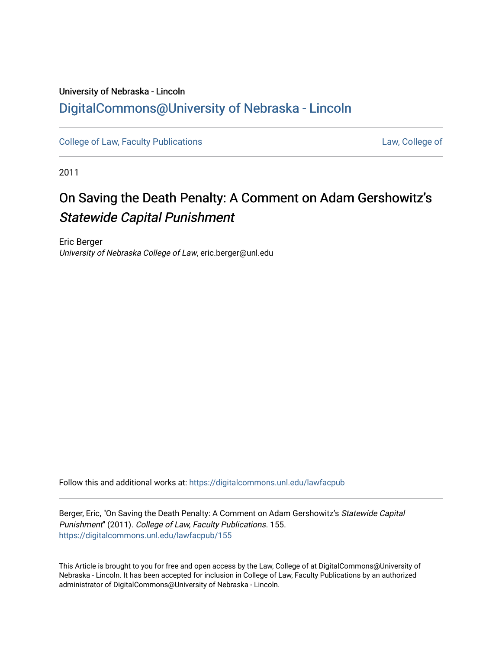## University of Nebraska - Lincoln [DigitalCommons@University of Nebraska - Lincoln](https://digitalcommons.unl.edu/)

[College of Law, Faculty Publications](https://digitalcommons.unl.edu/lawfacpub) **[Law, College of](https://digitalcommons.unl.edu/law) Law, College of** 

2011

# On Saving the Death Penalty: A Comment on Adam Gershowitz's Statewide Capital Punishment

Eric Berger University of Nebraska College of Law, eric.berger@unl.edu

Follow this and additional works at: [https://digitalcommons.unl.edu/lawfacpub](https://digitalcommons.unl.edu/lawfacpub?utm_source=digitalcommons.unl.edu%2Flawfacpub%2F155&utm_medium=PDF&utm_campaign=PDFCoverPages) 

Berger, Eric, "On Saving the Death Penalty: A Comment on Adam Gershowitz's Statewide Capital Punishment" (2011). College of Law, Faculty Publications. 155. [https://digitalcommons.unl.edu/lawfacpub/155](https://digitalcommons.unl.edu/lawfacpub/155?utm_source=digitalcommons.unl.edu%2Flawfacpub%2F155&utm_medium=PDF&utm_campaign=PDFCoverPages) 

This Article is brought to you for free and open access by the Law, College of at DigitalCommons@University of Nebraska - Lincoln. It has been accepted for inclusion in College of Law, Faculty Publications by an authorized administrator of DigitalCommons@University of Nebraska - Lincoln.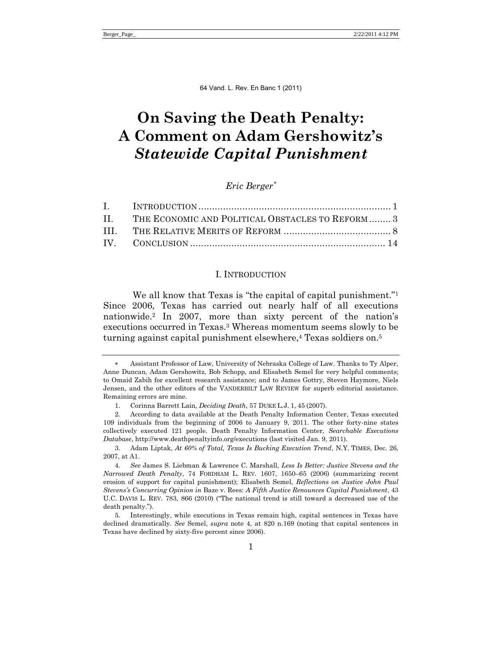## **On Saving the Death Penalty: A Comment on Adam Gershowitz's**  *Statewide Capital Punishment*

## *Eric Berger*

| II. THE ECONOMIC AND POLITICAL OBSTACLES TO REFORM 3 |  |
|------------------------------------------------------|--|
|                                                      |  |
|                                                      |  |

#### <span id="page-1-0"></span>I. INTRODUCTION

We all know that Texas is "the capital of capital punishment." $1$ Since 2006, Texas has carried out nearly half of all executions nationwide.<sup>2</sup> In 2007, more than sixty percent of the nation's executions occurred in Texas.<sup>3</sup> Whereas momentum seems slowly to be turning against capital punishment elsewhere,<sup>4</sup> Texas soldiers on.<sup>5</sup>

Assistant Professor of Law, University of Nebraska College of Law. Thanks to Ty Alper, Anne Duncan, Adam Gershowitz, Bob Schopp, and Elisabeth Semel for very helpful comments; to Omaid Zabih for excellent research assistance; and to James Gottry, Steven Haymore, Niels Jensen, and the other editors of the VANDERBILT LAW REVIEW for superb editorial assistance. Remaining errors are mine.

<sup>1.</sup> Corinna Barrett Lain, *Deciding Death*, 57 DUKE L.J. 1, 45 (2007).

<sup>2.</sup> According to data available at the Death Penalty Information Center, Texas executed 109 individuals from the beginning of 2006 to January 9, 2011. The other forty-nine states collectively executed 121 people. Death Penalty Information Center, *Searchable Executions Database*, http://www.deathpenaltyinfo.org/executions (last visited Jan. 9, 2011).

<sup>3.</sup> Adam Liptak, *At 60% of Total, Texas Is Bucking Execution Trend*, N.Y. TIMES, Dec. 26, 2007, at A1.

<sup>4.</sup> *See* James S. Liebman & Lawrence C. Marshall, *Less Is Better: Justice Stevens and the Narrowed Death Penalty*, 74 FORDHAM L. REV. 1607, 1650–65 (2006) (summarizing recent erosion of support for capital punishment); Elisabeth Semel, *Reflections on Justice John Paul Stevens's Concurring Opinion in* Baze v. Rees: *A Fifth Justice Renounces Capital Punishment*, 43 U.C. DAVIS L. REV. 783, 866 (2010) ("The national trend is still toward a decreased use of the death penalty.").

<sup>5.</sup> Interestingly, while executions in Texas remain high, capital sentences in Texas have declined dramatically. *See* Semel, *supra* note [4](#page-1-0)*,* at 820 n.169 (noting that capital sentences in Texas have declined by sixty-five percent since 2006).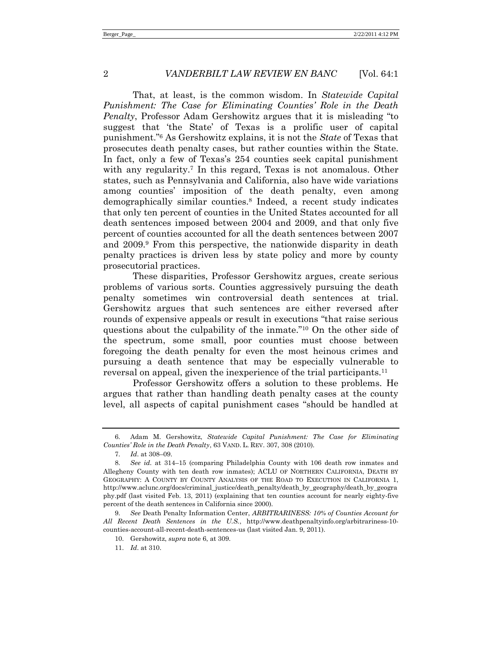<span id="page-2-0"></span>That, at least, is the common wisdom. In *Statewide Capital Punishment: The Case for Eliminating Counties' Role in the Death Penalty*, Professor Adam Gershowitz argues that it is misleading "to suggest that 'the State' of Texas is a prolific user of capital punishment.‖<sup>6</sup> As Gershowitz explains, it is not the *State* of Texas that prosecutes death penalty cases, but rather counties within the State. In fact, only a few of Texas's 254 counties seek capital punishment with any regularity.<sup>7</sup> In this regard, Texas is not anomalous. Other states, such as Pennsylvania and California, also have wide variations among counties' imposition of the death penalty, even among demographically similar counties.<sup>8</sup> Indeed, a recent study indicates that only ten percent of counties in the United States accounted for all death sentences imposed between 2004 and 2009, and that only five percent of counties accounted for all the death sentences between 2007 and 2009.<sup>9</sup> From this perspective, the nationwide disparity in death penalty practices is driven less by state policy and more by county prosecutorial practices.

These disparities, Professor Gershowitz argues, create serious problems of various sorts. Counties aggressively pursuing the death penalty sometimes win controversial death sentences at trial. Gershowitz argues that such sentences are either reversed after rounds of expensive appeals or result in executions "that raise serious" questions about the culpability of the inmate."<sup>10</sup> On the other side of the spectrum, some small, poor counties must choose between foregoing the death penalty for even the most heinous crimes and pursuing a death sentence that may be especially vulnerable to reversal on appeal, given the inexperience of the trial participants.<sup>11</sup>

Professor Gershowitz offers a solution to these problems. He argues that rather than handling death penalty cases at the county level, all aspects of capital punishment cases "should be handled at

<sup>6.</sup> Adam M. Gershowitz, *Statewide Capital Punishment: The Case for Eliminating Counties' Role in the Death Penalty*, 63 VAND. L. REV. 307, 308 (2010).

<sup>7.</sup> *Id*. at 308–09.

<sup>8.</sup> *See id*. at 314–15 (comparing Philadelphia County with 106 death row inmates and Allegheny County with ten death row inmates); ACLU OF NORTHERN CALIFORNIA, DEATH BY GEOGRAPHY: A COUNTY BY COUNTY ANALYSIS OF THE ROAD TO EXECUTION IN CALIFORNIA 1, http://www.aclunc.org/docs/criminal\_justice/death\_penalty/death\_by\_geography/death\_by\_geogra phy.pdf (last visited Feb. 13, 2011) (explaining that ten counties account for nearly eighty-five percent of the death sentences in California since 2000).

<sup>9.</sup> *See* Death Penalty Information Center, *ARBITRARINESS: 10% of Counties Account for All Recent Death Sentences in the U.S.*, http://www.deathpenaltyinfo.org/arbitrariness-10 counties-account-all-recent-death-sentences-us (last visited Jan. 9, 2011).

<sup>10.</sup> Gershowitz, *supra* not[e 6,](#page-2-0) at 309.

<sup>11.</sup> *Id*. at 310.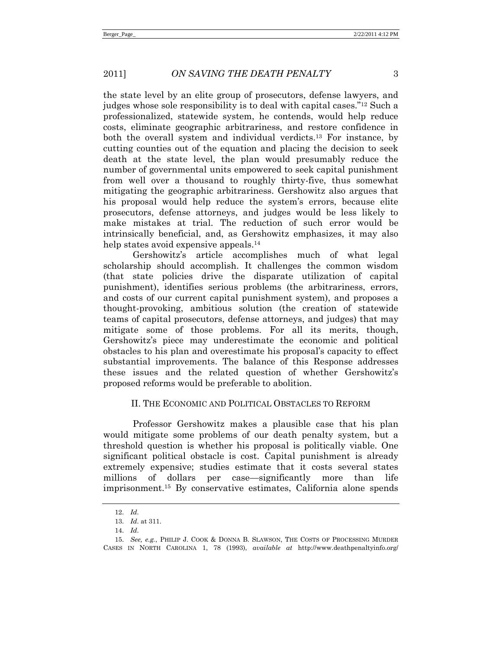the state level by an elite group of prosecutors, defense lawyers, and judges whose sole responsibility is to deal with capital cases.<sup>"12</sup> Such a professionalized, statewide system, he contends, would help reduce costs, eliminate geographic arbitrariness, and restore confidence in both the overall system and individual verdicts.<sup>13</sup> For instance, by cutting counties out of the equation and placing the decision to seek death at the state level, the plan would presumably reduce the number of governmental units empowered to seek capital punishment from well over a thousand to roughly thirty-five, thus somewhat mitigating the geographic arbitrariness. Gershowitz also argues that his proposal would help reduce the system's errors, because elite prosecutors, defense attorneys, and judges would be less likely to make mistakes at trial. The reduction of such error would be intrinsically beneficial, and, as Gershowitz emphasizes, it may also help states avoid expensive appeals.<sup>14</sup>

Gershowitz's article accomplishes much of what legal scholarship should accomplish. It challenges the common wisdom (that state policies drive the disparate utilization of capital punishment), identifies serious problems (the arbitrariness, errors, and costs of our current capital punishment system), and proposes a thought-provoking, ambitious solution (the creation of statewide teams of capital prosecutors, defense attorneys, and judges) that may mitigate some of those problems. For all its merits, though, Gershowitz's piece may underestimate the economic and political obstacles to his plan and overestimate his proposal's capacity to effect substantial improvements. The balance of this Response addresses these issues and the related question of whether Gershowitz's proposed reforms would be preferable to abolition.

### II. THE ECONOMIC AND POLITICAL OBSTACLES TO REFORM

Professor Gershowitz makes a plausible case that his plan would mitigate some problems of our death penalty system, but a threshold question is whether his proposal is politically viable. One significant political obstacle is cost. Capital punishment is already extremely expensive; studies estimate that it costs several states millions of dollars per case—significantly more than life imprisonment.<sup>15</sup> By conservative estimates, California alone spends

<span id="page-3-0"></span><sup>12.</sup> *Id*.

<sup>13.</sup> *Id*. at 311.

<sup>14.</sup> *Id*.

<sup>15.</sup> *See, e.g.*, PHILIP J. COOK & DONNA B. SLAWSON, THE COSTS OF PROCESSING MURDER CASES IN NORTH CAROLINA 1, 78 (1993), *available at* http://www.deathpenaltyinfo.org/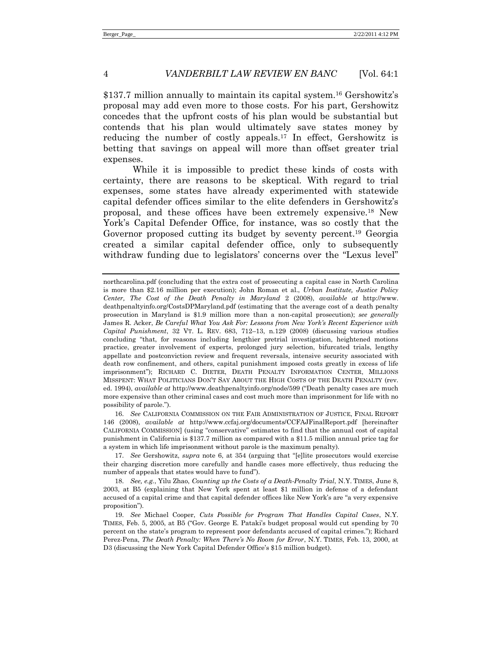<span id="page-4-0"></span>\$137.7 million annually to maintain its capital system.<sup>16</sup> Gershowitz's proposal may add even more to those costs. For his part, Gershowitz concedes that the upfront costs of his plan would be substantial but contends that his plan would ultimately save states money by reducing the number of costly appeals.<sup>17</sup> In effect, Gershowitz is betting that savings on appeal will more than offset greater trial expenses.

<span id="page-4-1"></span>While it is impossible to predict these kinds of costs with certainty, there are reasons to be skeptical. With regard to trial expenses, some states have already experimented with statewide capital defender offices similar to the elite defenders in Gershowitz's proposal, and these offices have been extremely expensive.<sup>18</sup> New York's Capital Defender Office, for instance, was so costly that the Governor proposed cutting its budget by seventy percent.<sup>19</sup> Georgia created a similar capital defender office, only to subsequently withdraw funding due to legislators' concerns over the "Lexus level"

16. *See* CALIFORNIA COMMISSION ON THE FAIR ADMINISTRATION OF JUSTICE, FINAL REPORT 146 (2008), *available at* http://www.ccfaj.org/documents/CCFAJFinalReport.pdf [hereinafter CALIFORNIA COMMISSION] (using "conservative" estimates to find that the annual cost of capital punishment in California is \$137.7 million as compared with a \$11.5 million annual price tag for a system in which life imprisonment without parole is the maximum penalty).

17. *See* Gershowitz, *supra* note [6,](#page-2-0) at 354 (arguing that "[e]lite prosecutors would exercise their charging discretion more carefully and handle cases more effectively, thus reducing the number of appeals that states would have to fund").

18. *See, e.g.*, Yilu Zhao, *Counting up the Costs of a Death-Penalty Trial*, N.Y. TIMES, June 8, 2003, at B5 (explaining that New York spent at least \$1 million in defense of a defendant accused of a capital crime and that capital defender offices like New York's are "a very expensive proposition").

19. *See* Michael Cooper, *Cuts Possible for Program That Handles Capital Cases*, N.Y. TIMES, Feb. 5, 2005, at B5 ("Gov. George E. Pataki's budget proposal would cut spending by 70 percent on the state's program to represent poor defendants accused of capital crimes.‖); Richard Perez-Pena, *The Death Penalty: When There's No Room for Error*, N.Y. TIMES, Feb. 13, 2000, at D3 (discussing the New York Capital Defender Office's \$15 million budget).

northcarolina.pdf (concluding that the extra cost of prosecuting a capital case in North Carolina is more than \$2.16 million per execution); John Roman et al., *Urban Institute, Justice Policy Center, The Cost of the Death Penalty in Maryland* 2 (2008), *available at* http://www. deathpenaltyinfo.org/CostsDPMaryland.pdf (estimating that the average cost of a death penalty prosecution in Maryland is \$1.9 million more than a non-capital prosecution); *see generally*  James R. Acker, *Be Careful What You Ask For: Lessons from New York's Recent Experience with Capital Punishment*, 32 VT. L. REV. 683, 712–13, n.129 (2008) (discussing various studies concluding "that, for reasons including lengthier pretrial investigation, heightened motions practice, greater involvement of experts, prolonged jury selection, bifurcated trials, lengthy appellate and postconviction review and frequent reversals, intensive security associated with death row confinement, and others, capital punishment imposed costs greatly in excess of life imprisonment‖); RICHARD C. DIETER, DEATH PENALTY INFORMATION CENTER, MILLIONS MISSPENT: WHAT POLITICIANS DON'T SAY ABOUT THE HIGH COSTS OF THE DEATH PENALTY (rev. ed. 1994), *available at* http://www.deathpenaltyinfo.org/node/599 ("Death penalty cases are much more expensive than other criminal cases and cost much more than imprisonment for life with no possibility of parole.").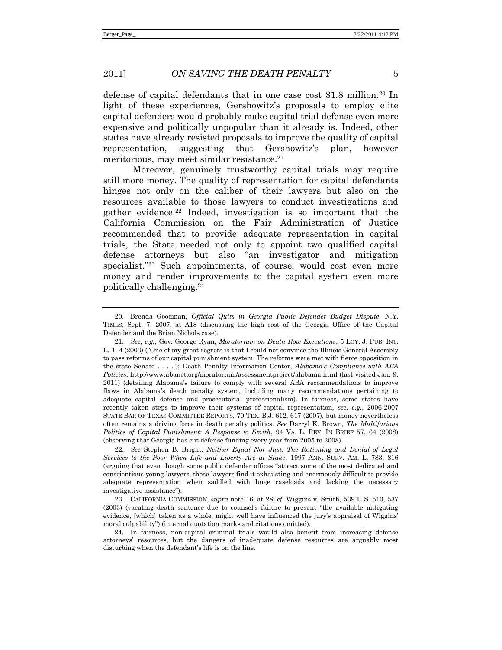defense of capital defendants that in one case cost \$1.8 million.<sup>20</sup> In light of these experiences, Gershowitz's proposals to employ elite capital defenders would probably make capital trial defense even more expensive and politically unpopular than it already is. Indeed, other states have already resisted proposals to improve the quality of capital representation, suggesting that Gershowitz's plan, however meritorious, may meet similar resistance.<sup>21</sup>

Moreover, genuinely trustworthy capital trials may require still more money. The quality of representation for capital defendants hinges not only on the caliber of their lawyers but also on the resources available to those lawyers to conduct investigations and gather evidence.<sup>22</sup> Indeed, investigation is so important that the California Commission on the Fair Administration of Justice recommended that to provide adequate representation in capital trials, the State needed not only to appoint two qualified capital defense attorneys but also "an investigator and mitigation specialist."<sup>23</sup> Such appointments, of course, would cost even more money and render improvements to the capital system even more politically challenging.<sup>24</sup>

<span id="page-5-0"></span><sup>20.</sup> Brenda Goodman, *Official Quits in Georgia Public Defender Budget Dispute*, N.Y. TIMES, Sept. 7, 2007, at A18 (discussing the high cost of the Georgia Office of the Capital Defender and the Brian Nichols case).

<sup>21.</sup> *See, e.g.*, Gov. George Ryan, *Moratorium on Death Row Executions*, 5 LOY. J. PUB. INT. L. 1, 4 (2003) ("One of my great regrets is that I could not convince the Illinois General Assembly to pass reforms of our capital punishment system. The reforms were met with fierce opposition in the state Senate . . . ."); Death Penalty Information Center, *Alabama's Compliance with ABA Policies*, http://www.abanet.org/moratorium/assessmentproject/alabama.html (last visited Jan. 9, 2011) (detailing Alabama's failure to comply with several ABA recommendations to improve flaws in Alabama's death penalty system, including many recommendations pertaining to adequate capital defense and prosecutorial professionalism). In fairness, some states have recently taken steps to improve their systems of capital representation, *see, e.g.*, 2006-2007 STATE BAR OF TEXAS COMMITTEE REPORTS, 70 TEX. B.J. 612, 617 (2007), but money nevertheless often remains a driving force in death penalty politics. *See* Darryl K. Brown, *The Multifarious Politics of Capital Punishment: A Response to Smith*, 94 VA. L. REV. IN BRIEF 57, 64 (2008) (observing that Georgia has cut defense funding every year from 2005 to 2008).

<sup>22.</sup> *See* Stephen B. Bright, *Neither Equal Nor Just: The Rationing and Denial of Legal Services to the Poor When Life and Liberty Are at Stake*, 1997 ANN. SURV. AM. L. 783, 816 (arguing that even though some public defender offices "attract some of the most dedicated and conscientious young lawyers, those lawyers find it exhausting and enormously difficult to provide adequate representation when saddled with huge caseloads and lacking the necessary investigative assistance").

<sup>23.</sup> CALIFORNIA COMMISSION, *supra* note [16,](#page-4-0) at 28; *cf.* Wiggins v. Smith, 539 U.S. 510, 537 (2003) (vacating death sentence due to counsel's failure to present "the available mitigating evidence, [which] taken as a whole, might well have influenced the jury's appraisal of Wiggins' moral culpability") (internal quotation marks and citations omitted).

 <sup>24.</sup> In fairness, non-capital criminal trials would also benefit from increasing defense attorneys' resources, but the dangers of inadequate defense resources are arguably most disturbing when the defendant's life is on the line.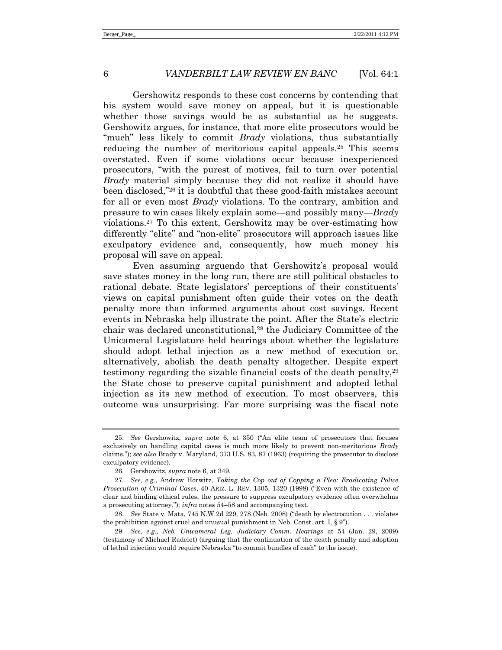<span id="page-6-0"></span>Gershowitz responds to these cost concerns by contending that his system would save money on appeal, but it is questionable whether those savings would be as substantial as he suggests. Gershowitz argues, for instance, that more elite prosecutors would be "much" less likely to commit *Brady* violations, thus substantially reducing the number of meritorious capital appeals.<sup>25</sup> This seems overstated. Even if some violations occur because inexperienced prosecutors, ―with the purest of motives, fail to turn over potential *Brady* material simply because they did not realize it should have been disclosed,"<sup>26</sup> it is doubtful that these good-faith mistakes account for all or even most *Brady* violations. To the contrary, ambition and pressure to win cases likely explain some—and possibly many—*Brady*  violations.<sup>27</sup> To this extent, Gershowitz may be over-estimating how differently "elite" and "non-elite" prosecutors will approach issues like exculpatory evidence and, consequently, how much money his proposal will save on appeal.

<span id="page-6-2"></span><span id="page-6-1"></span>Even assuming arguendo that Gershowitz's proposal would save states money in the long run, there are still political obstacles to rational debate. State legislators' perceptions of their constituents' views on capital punishment often guide their votes on the death penalty more than informed arguments about cost savings. Recent events in Nebraska help illustrate the point. After the State's electric chair was declared unconstitutional,<sup>28</sup> the Judiciary Committee of the Unicameral Legislature held hearings about whether the legislature should adopt lethal injection as a new method of execution or, alternatively, abolish the death penalty altogether. Despite expert testimony regarding the sizable financial costs of the death penalty,<sup>29</sup> the State chose to preserve capital punishment and adopted lethal injection as its new method of execution. To most observers, this outcome was unsurprising. Far more surprising was the fiscal note

<sup>25.</sup> See Gershowitz, *supra* note [6](#page-2-0), at 350 ("An elite team of prosecutors that focuses exclusively on handling capital cases is much more likely to prevent non-meritorious *Brady* claims.‖); *see also* Brady v. Maryland, 373 U.S. 83, 87 (1963) (requiring the prosecutor to disclose exculpatory evidence).

<sup>26.</sup> Gershowitz, *supra* not[e 6,](#page-2-0) at 349.

<sup>27.</sup> *See, e.g.*, Andrew Horwitz, *Taking the Cop out of Copping a Plea: Eradicating Police Prosecution of Criminal Cases*, 40 ARIZ. L. REV. 1305, 1320 (1998) ("Even with the existence of clear and binding ethical rules, the pressure to suppress exculpatory evidence often overwhelms a prosecuting attorney.‖); *infra* note[s 54](#page-11-0)–[58](#page-12-0) and accompanying text.

<sup>28.</sup> *See* State v. Mata, 745 N.W.2d 229, 278 (Neb. 2008) ("death by electrocution . . . violates the prohibition against cruel and unusual punishment in Neb. Const. art. I,  $\S 9$ ").

<sup>29.</sup> *See, e.g.*, *Neb. Unicameral Leg. Judiciary Comm. Hearings* at 54 (Jan. 29, 2009) (testimony of Michael Radelet) (arguing that the continuation of the death penalty and adoption of lethal injection would require Nebraska "to commit bundles of cash" to the issue).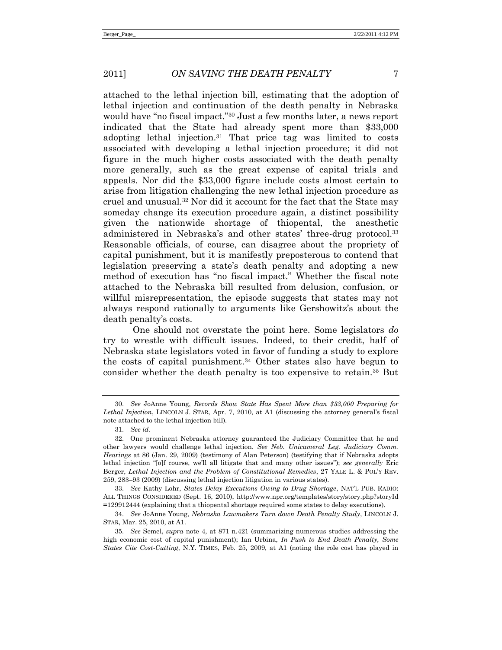attached to the lethal injection bill, estimating that the adoption of lethal injection and continuation of the death penalty in Nebraska would have "no fiscal impact."<sup>30</sup> Just a few months later, a news report indicated that the State had already spent more than \$33,000 adopting lethal injection.<sup>31</sup> That price tag was limited to costs associated with developing a lethal injection procedure; it did not figure in the much higher costs associated with the death penalty more generally, such as the great expense of capital trials and appeals. Nor did the \$33,000 figure include costs almost certain to arise from litigation challenging the new lethal injection procedure as cruel and unusual.<sup>32</sup> Nor did it account for the fact that the State may someday change its execution procedure again, a distinct possibility given the nationwide shortage of thiopental, the anesthetic administered in Nebraska's and other states' three-drug protocol.<sup>33</sup> Reasonable officials, of course, can disagree about the propriety of capital punishment, but it is manifestly preposterous to contend that legislation preserving a state's death penalty and adopting a new method of execution has "no fiscal impact." Whether the fiscal note attached to the Nebraska bill resulted from delusion, confusion, or willful misrepresentation, the episode suggests that states may not always respond rationally to arguments like Gershowitz's about the death penalty's costs.

<span id="page-7-0"></span>One should not overstate the point here. Some legislators *do* try to wrestle with difficult issues. Indeed, to their credit, half of Nebraska state legislators voted in favor of funding a study to explore the costs of capital punishment.<sup>34</sup> Other states also have begun to consider whether the death penalty is too expensive to retain.<sup>35</sup> But

<sup>30.</sup> *See* JoAnne Young, *Records Show State Has Spent More than \$33,000 Preparing for Lethal Injection*, LINCOLN J. STAR, Apr. 7, 2010, at A1 (discussing the attorney general's fiscal note attached to the lethal injection bill).

<sup>31.</sup> *See id.*

<sup>32.</sup> One prominent Nebraska attorney guaranteed the Judiciary Committee that he and other lawyers would challenge lethal injection. *See Neb. Unicameral Leg. Judiciary Comm. Hearings* at 86 (Jan. 29, 2009) (testimony of Alan Peterson) (testifying that if Nebraska adopts lethal injection "[o]f course, we'll all litigate that and many other issues"); *see generally* Eric Berger, *Lethal Injection and the Problem of Constitutional Remedies*, 27 YALE L. & POL'Y REV. 259, 283–93 (2009) (discussing lethal injection litigation in various states).

<sup>33.</sup> *See* Kathy Lohr, *States Delay Executions Owing to Drug Shortage*, NAT'L PUB. RADIO: ALL THINGS CONSIDERED (Sept. 16, 2010), http://www.npr.org/templates/story/story.php?storyId =129912444 (explaining that a thiopental shortage required some states to delay executions).

<sup>34.</sup> *See* JoAnne Young, *Nebraska Lawmakers Turn down Death Penalty Study*, LINCOLN J. STAR, Mar. 25, 2010, at A1.

<sup>35.</sup> *See* Semel, *supra* note [4,](#page-1-0) at 871 n.421 (summarizing numerous studies addressing the high economic cost of capital punishment); Ian Urbina, *In Push to End Death Penalty, Some States Cite Cost-Cutting*, N.Y. TIMES, Feb. 25, 2009, at A1 (noting the role cost has played in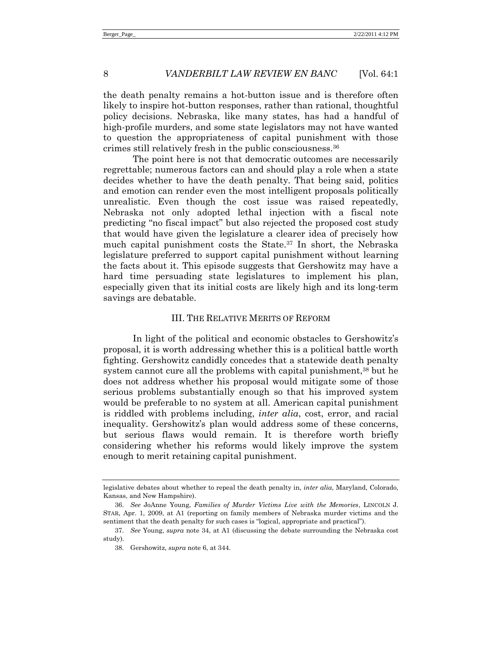the death penalty remains a hot-button issue and is therefore often likely to inspire hot-button responses, rather than rational, thoughtful policy decisions. Nebraska, like many states, has had a handful of high-profile murders, and some state legislators may not have wanted to question the appropriateness of capital punishment with those crimes still relatively fresh in the public consciousness.<sup>36</sup>

The point here is not that democratic outcomes are necessarily regrettable; numerous factors can and should play a role when a state decides whether to have the death penalty. That being said, politics and emotion can render even the most intelligent proposals politically unrealistic. Even though the cost issue was raised repeatedly, Nebraska not only adopted lethal injection with a fiscal note predicting "no fiscal impact" but also rejected the proposed cost study that would have given the legislature a clearer idea of precisely how much capital punishment costs the State.<sup>37</sup> In short, the Nebraska legislature preferred to support capital punishment without learning the facts about it. This episode suggests that Gershowitz may have a hard time persuading state legislatures to implement his plan, especially given that its initial costs are likely high and its long-term savings are debatable.

## III. THE RELATIVE MERITS OF REFORM

In light of the political and economic obstacles to Gershowitz's proposal, it is worth addressing whether this is a political battle worth fighting. Gershowitz candidly concedes that a statewide death penalty system cannot cure all the problems with capital punishment,<sup>38</sup> but he does not address whether his proposal would mitigate some of those serious problems substantially enough so that his improved system would be preferable to no system at all. American capital punishment is riddled with problems including, *inter alia*, cost, error, and racial inequality. Gershowitz's plan would address some of these concerns, but serious flaws would remain. It is therefore worth briefly considering whether his reforms would likely improve the system enough to merit retaining capital punishment.

legislative debates about whether to repeal the death penalty in, *inter alia*, Maryland, Colorado, Kansas, and New Hampshire).

<sup>36.</sup> *See* JoAnne Young, *Families of Murder Victims Live with the Memories*, LINCOLN J. STAR, Apr. 1, 2009, at A1 (reporting on family members of Nebraska murder victims and the sentiment that the death penalty for such cases is "logical, appropriate and practical").

<sup>37.</sup> *See* Young, *supra* note [34,](#page-7-0) at A1 (discussing the debate surrounding the Nebraska cost study).

<sup>38.</sup> Gershowitz, *supra* not[e 6,](#page-2-0) at 344.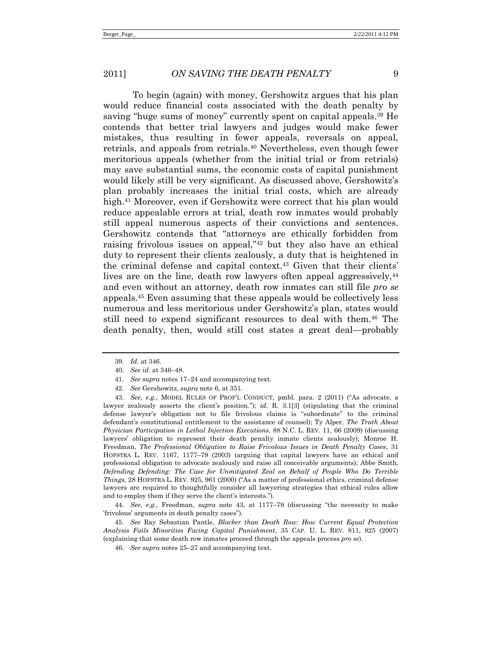To begin (again) with money, Gershowitz argues that his plan would reduce financial costs associated with the death penalty by saving "huge sums of money" currently spent on capital appeals.<sup>39</sup> He contends that better trial lawyers and judges would make fewer mistakes, thus resulting in fewer appeals, reversals on appeal, retrials, and appeals from retrials.<sup>40</sup> Nevertheless, even though fewer meritorious appeals (whether from the initial trial or from retrials) may save substantial sums, the economic costs of capital punishment would likely still be very significant. As discussed above, Gershowitz's plan probably increases the initial trial costs, which are already high.<sup>41</sup> Moreover, even if Gershowitz were correct that his plan would reduce appealable errors at trial, death row inmates would probably still appeal numerous aspects of their convictions and sentences. Gershowitz contends that "attorneys are ethically forbidden from raising frivolous issues on appeal," $42$  but they also have an ethical duty to represent their clients zealously, a duty that is heightened in the criminal defense and capital context.<sup>43</sup> Given that their clients' lives are on the line, death row lawyers often appeal aggressively,  $44$ and even without an attorney, death row inmates can still file *pro se* appeals.<sup>45</sup> Even assuming that these appeals would be collectively less numerous and less meritorious under Gershowitz's plan, states would still need to expend significant resources to deal with them.<sup>46</sup> The death penalty, then, would still cost states a great deal—probably

<span id="page-9-0"></span><sup>39.</sup> *Id.* at 346.

<sup>40.</sup> *See id*. at 346–48.

<sup>41.</sup> *See supra* notes [17](#page-4-1)–[24](#page-5-0) and accompanying text.

<sup>42.</sup> *See* Gershowitz, *supra* note [6,](#page-2-0) at 351.

<sup>43.</sup> *See, e.g.*, MODEL RULES OF PROF'L CONDUCT, pmbl. para. 2 (2011) ("As advocate, a lawyer zealously asserts the client's position."); *id.* R. 3.1[3] (stipulating that the criminal defense lawyer's obligation not to file frivolous claims is "subordinate" to the criminal defendant's constitutional entitlement to the assistance of counsel); Ty Alper, *The Truth About Physician Participation in Lethal Injection Executions*, 88 N.C. L. REV. 11, 66 (2009) (discussing lawyers' obligation to represent their death penalty inmate clients zealously); Monroe H. Freedman, *The Professional Obligation to Raise Frivolous Issues in Death Penalty Cases*, 31 HOFSTRA L. REV. 1167, 1177–79 (2003) (arguing that capital lawyers have an ethical and professional obligation to advocate zealously and raise all conceivable arguments); Abbe Smith, *Defending Defending: The Case for Unmitigated Zeal on Behalf of People Who Do Terrible Things*, 28 HOFSTRA L. REV. 925, 961 (2000) ("As a matter of professional ethics, criminal defense lawyers are required to thoughtfully consider all lawyering strategies that ethical rules allow and to employ them if they serve the client's interests.").

<sup>44.</sup> *See, e.g.*, Freedman, *supra* note [43,](#page-9-0) at 1177–79 (discussing "the necessity to make ‗frivolous' arguments in death penalty cases‖).

<sup>45.</sup> *See* Ray Sebastian Pantle, *Blacker than Death Row: How Current Equal Protection Analysis Fails Minorities Facing Capital Punishment*, 35 CAP. U. L. REV. 811, 825 (2007) (explaining that some death row inmates proceed through the appeals process *pro se*).

<sup>46.</sup> *See supra* notes [25](#page-6-0)–[27](#page-6-1) and accompanying text.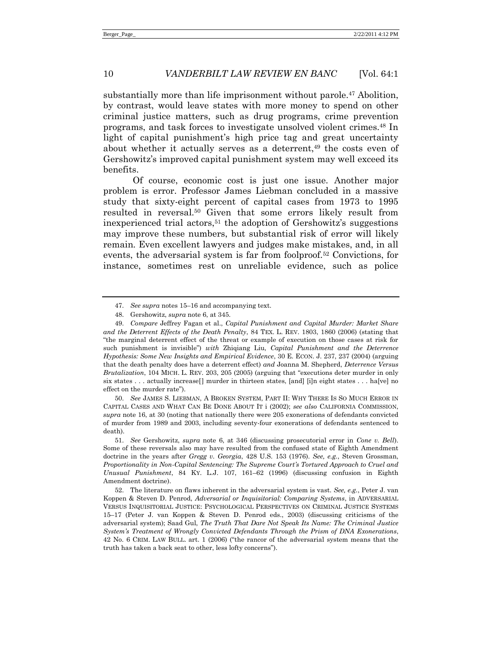substantially more than life imprisonment without parole.<sup>47</sup> Abolition, by contrast, would leave states with more money to spend on other criminal justice matters, such as drug programs, crime prevention programs, and task forces to investigate unsolved violent crimes.<sup>48</sup> In light of capital punishment's high price tag and great uncertainty about whether it actually serves as a deterrent,<sup>49</sup> the costs even of Gershowitz's improved capital punishment system may well exceed its benefits.

Of course, economic cost is just one issue. Another major problem is error. Professor James Liebman concluded in a massive study that sixty-eight percent of capital cases from 1973 to 1995 resulted in reversal.<sup>50</sup> Given that some errors likely result from inexperienced trial actors,<sup>51</sup> the adoption of Gershowitz's suggestions may improve these numbers, but substantial risk of error will likely remain. Even excellent lawyers and judges make mistakes, and, in all events, the adversarial system is far from foolproof.<sup>52</sup> Convictions, for instance, sometimes rest on unreliable evidence, such as police

50. *See* JAMES S. LIEBMAN, A BROKEN SYSTEM, PART II: WHY THERE IS SO MUCH ERROR IN CAPITAL CASES AND WHAT CAN BE DONE ABOUT IT i (2002); *see also* CALIFORNIA COMMISSION, *supra* note [16,](#page-4-0) at 30 (noting that nationally there were 205 exonerations of defendants convicted of murder from 1989 and 2003, including seventy-four exonerations of defendants sentenced to death).

51. *See* Gershowitz, *supra* note [6,](#page-2-0) at 346 (discussing prosecutorial error in *Cone v. Bell*). Some of these reversals also may have resulted from the confused state of Eighth Amendment doctrine in the years after *Gregg v. Georgia*, 428 U.S. 153 (1976). *See, e.g.*, Steven Grossman, *Proportionality in Non-Capital Sentencing: The Supreme Court's Tortured Approach to Cruel and Unusual Punishment*, 84 KY. L.J. 107, 161–62 (1996) (discussing confusion in Eighth Amendment doctrine).

52. The literature on flaws inherent in the adversarial system is vast. *See, e.g.*, Peter J. van Koppen & Steven D. Penrod, *Adversarial or Inquisitorial: Comparing Systems*, in ADVERSARIAL VERSUS INQUISITORIAL JUSTICE: PSYCHOLOGICAL PERSPECTIVES ON CRIMINAL JUSTICE SYSTEMS 15–17 (Peter J. van Koppen & Steven D. Penrod eds., 2003) (discussing criticisms of the adversarial system); Saad Gul, *The Truth That Dare Not Speak Its Name: The Criminal Justice System's Treatment of Wrongly Convicted Defendants Through the Prism of DNA Exonerations*, 42 No. 6 CRIM. LAW BULL. art. 1 (2006) ("the rancor of the adversarial system means that the truth has taken a back seat to other, less lofty concerns").

<sup>47.</sup> *See supra* notes [15](#page-3-0)–[16](#page-4-0) and accompanying text.

<sup>48.</sup> Gershowitz, *supra* not[e 6,](#page-2-0) at 345.

<sup>49.</sup> *Compare* Jeffrey Fagan et al., *Capital Punishment and Capital Murder: Market Share and the Deterrent Effects of the Death Penalty*, 84 TEX. L. REV. 1803, 1860 (2006) (stating that ―the marginal deterrent effect of the threat or example of execution on those cases at risk for such punishment is invisible‖) *with* Zhiqiang Liu, *Capital Punishment and the Deterrence Hypothesis: Some New Insights and Empirical Evidence*, 30 E. ECON. J. 237, 237 (2004) (arguing that the death penalty does have a deterrent effect) *and* Joanna M. Shepherd, *Deterrence Versus Brutalization*, 104 MICH. L. REV. 203, 205 (2005) (arguing that "executions deter murder in only six states . . . actually increase[] murder in thirteen states, [and] [i]n eight states . . . ha[ve] no effect on the murder rate").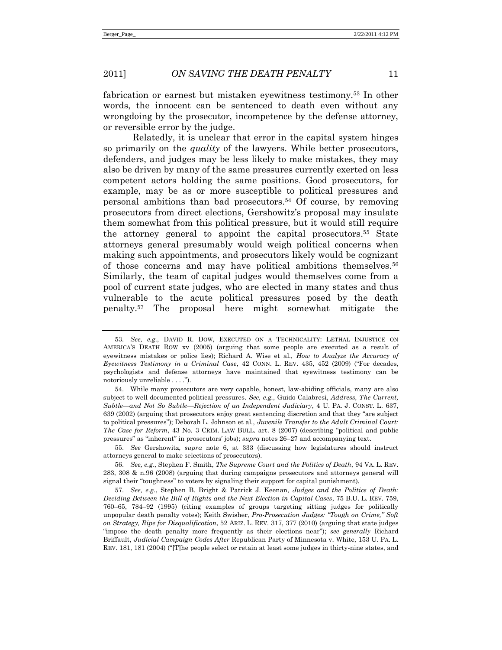fabrication or earnest but mistaken eyewitness testimony.<sup>53</sup> In other words, the innocent can be sentenced to death even without any wrongdoing by the prosecutor, incompetence by the defense attorney, or reversible error by the judge.

<span id="page-11-0"></span>Relatedly, it is unclear that error in the capital system hinges so primarily on the *quality* of the lawyers. While better prosecutors, defenders, and judges may be less likely to make mistakes, they may also be driven by many of the same pressures currently exerted on less competent actors holding the same positions. Good prosecutors, for example, may be as or more susceptible to political pressures and personal ambitions than bad prosecutors.<sup>54</sup> Of course, by removing prosecutors from direct elections, Gershowitz's proposal may insulate them somewhat from this political pressure, but it would still require the attorney general to appoint the capital prosecutors. <sup>55</sup> State attorneys general presumably would weigh political concerns when making such appointments, and prosecutors likely would be cognizant of those concerns and may have political ambitions themselves.<sup>56</sup> Similarly, the team of capital judges would themselves come from a pool of current state judges, who are elected in many states and thus vulnerable to the acute political pressures posed by the death penalty.<sup>57</sup> The proposal here might somewhat mitigate the

<sup>53.</sup> *See, e.g.*, DAVID R. DOW, EXECUTED ON A TECHNICALITY: LETHAL INJUSTICE ON AMERICA'S DEATH ROW xv (2005) (arguing that some people are executed as a result of eyewitness mistakes or police lies); Richard A. Wise et al., *How to Analyze the Accuracy of Eyewitness Testimony in a Criminal Case*, 42 CONN. L. REV. 435, 452 (2009) ("For decades, psychologists and defense attorneys have maintained that eyewitness testimony can be notoriously unreliable . . . .").

<sup>54.</sup> While many prosecutors are very capable, honest, law-abiding officials, many are also subject to well documented political pressures. *See, e.g.*, Guido Calabresi, *Address, The Current, Subtle—and Not So Subtle—Rejection of an Independent Judiciary*, 4 U. PA. J. CONST. L. 637, 639 (2002) (arguing that prosecutors enjoy great sentencing discretion and that they "are subject" to political pressures‖); Deborah L. Johnson et al., *Juvenile Transfer to the Adult Criminal Court: The Case for Reform*, 43 No. 3 CRIM. LAW BULL. art. 8 (2007) (describing "political and public pressures" as "inherent" in prosecutors' jobs); *supra* notes [26](#page-6-2)–[27](#page-6-1) and accompanying text.

<sup>55.</sup> *See* Gershowitz, *supra* note [6,](#page-2-0) at 333 (discussing how legislatures should instruct attorneys general to make selections of prosecutors).

<sup>56.</sup> *See, e.g.*, Stephen F. Smith, *The Supreme Court and the Politics of Death*, 94 VA. L. REV. 283, 308 & n.96 (2008) (arguing that during campaigns prosecutors and attorneys general will signal their "toughness" to voters by signaling their support for capital punishment).

<sup>57.</sup> *See, e.g.*, Stephen B. Bright & Patrick J. Keenan, *Judges and the Politics of Death: Deciding Between the Bill of Rights and the Next Election in Capital Cases*, 75 B.U. L. REV. 759, 760–65, 784–92 (1995) (citing examples of groups targeting sitting judges for politically unpopular death penalty votes); Keith Swisher, *Pro-Prosecution Judges: "Tough on Crime," Soft on Strategy, Ripe for Disqualification*, 52 ARIZ. L. REV. 317, 377 (2010) (arguing that state judges ―impose the death penalty more frequently as their elections near‖); *see generally* Richard Briffault, *Judicial Campaign Codes After* Republican Party of Minnesota v. White, 153 U. PA. L. REV. 181, 181 (2004) ("[T]he people select or retain at least some judges in thirty-nine states, and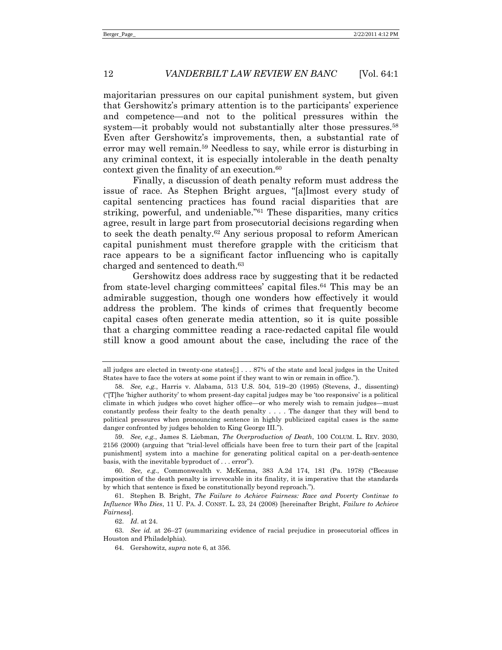<span id="page-12-0"></span>majoritarian pressures on our capital punishment system, but given that Gershowitz's primary attention is to the participants' experience and competence—and not to the political pressures within the system—it probably would not substantially alter those pressures.<sup>58</sup> Even after Gershowitz's improvements, then, a substantial rate of error may well remain.<sup>59</sup> Needless to say, while error is disturbing in any criminal context, it is especially intolerable in the death penalty context given the finality of an execution.<sup>60</sup>

<span id="page-12-1"></span>Finally, a discussion of death penalty reform must address the issue of race. As Stephen Bright argues, "[a]lmost every study of capital sentencing practices has found racial disparities that are striking, powerful, and undeniable.<sup> $n_{61}$ </sup> These disparities, many critics agree, result in large part from prosecutorial decisions regarding when to seek the death penalty.<sup>62</sup> Any serious proposal to reform American capital punishment must therefore grapple with the criticism that race appears to be a significant factor influencing who is capitally charged and sentenced to death.<sup>63</sup>

Gershowitz does address race by suggesting that it be redacted from state-level charging committees' capital files.<sup>64</sup> This may be an admirable suggestion, though one wonders how effectively it would address the problem. The kinds of crimes that frequently become capital cases often generate media attention, so it is quite possible that a charging committee reading a race-redacted capital file would still know a good amount about the case, including the race of the

all judges are elected in twenty-one states[;] . . . 87% of the state and local judges in the United States have to face the voters at some point if they want to win or remain in office.").

<sup>58.</sup> *See, e.g.*, Harris v. Alabama, 513 U.S. 504, 519–20 (1995) (Stevens, J., dissenting)  $("T]he 'higher authority' to whom present-day capital judges may be 'too responsive' is a political$ climate in which judges who covet higher office—or who merely wish to remain judges—must constantly profess their fealty to the death penalty . . . . The danger that they will bend to political pressures when pronouncing sentence in highly publicized capital cases is the same danger confronted by judges beholden to King George III.").

<sup>59.</sup> *See, e.g.*, James S. Liebman, *The Overproduction of Death*, 100 COLUM. L. REV. 2030, 2156 (2000) (arguing that "trial-level officials have been free to turn their part of the [capital] punishment] system into a machine for generating political capital on a per-death-sentence basis, with the inevitable byproduct of ... error").

<sup>60.</sup> *See, e.g.*, Commonwealth v. McKenna, 383 A.2d 174, 181 (Pa. 1978) ("Because imposition of the death penalty is irrevocable in its finality, it is imperative that the standards by which that sentence is fixed be constitutionally beyond reproach.").

<sup>61.</sup> Stephen B. Bright, *The Failure to Achieve Fairness: Race and Poverty Continue to Influence Who Dies*, 11 U. PA. J. CONST. L. 23, 24 (2008) [hereinafter Bright, *Failure to Achieve Fairness*].

<sup>62.</sup> *Id*. at 24.

<sup>63.</sup> *See id.* at 26–27 (summarizing evidence of racial prejudice in prosecutorial offices in Houston and Philadelphia).

<sup>64.</sup> Gershowitz, *supra* not[e 6,](#page-2-0) at 356.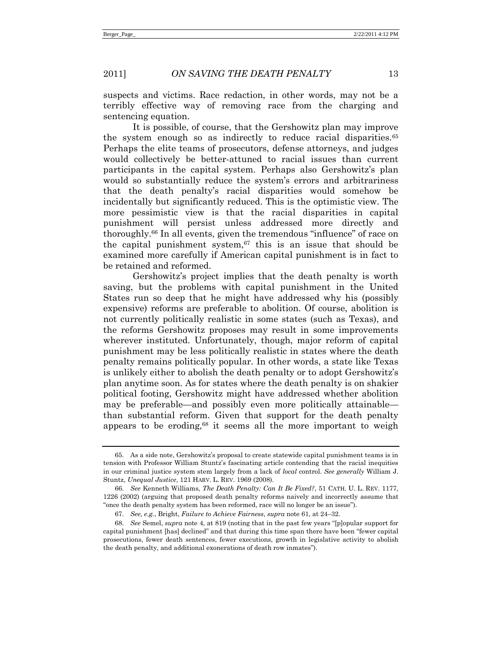suspects and victims. Race redaction, in other words, may not be a terribly effective way of removing race from the charging and sentencing equation.

It is possible, of course, that the Gershowitz plan may improve the system enough so as indirectly to reduce racial disparities.<sup>65</sup> Perhaps the elite teams of prosecutors, defense attorneys, and judges would collectively be better-attuned to racial issues than current participants in the capital system. Perhaps also Gershowitz's plan would so substantially reduce the system's errors and arbitrariness that the death penalty's racial disparities would somehow be incidentally but significantly reduced. This is the optimistic view. The more pessimistic view is that the racial disparities in capital punishment will persist unless addressed more directly and thoroughly.<sup>66</sup> In all events, given the tremendous "influence" of race on the capital punishment system, $67$  this is an issue that should be examined more carefully if American capital punishment is in fact to be retained and reformed.

Gershowitz's project implies that the death penalty is worth saving, but the problems with capital punishment in the United States run so deep that he might have addressed why his (possibly expensive) reforms are preferable to abolition. Of course, abolition is not currently politically realistic in some states (such as Texas), and the reforms Gershowitz proposes may result in some improvements wherever instituted. Unfortunately, though, major reform of capital punishment may be less politically realistic in states where the death penalty remains politically popular. In other words, a state like Texas is unlikely either to abolish the death penalty or to adopt Gershowitz's plan anytime soon. As for states where the death penalty is on shakier political footing, Gershowitz might have addressed whether abolition may be preferable—and possibly even more politically attainable than substantial reform. Given that support for the death penalty appears to be eroding, $68$  it seems all the more important to weigh

<sup>65.</sup> As a side note, Gershowitz's proposal to create statewide capital punishment teams is in tension with Professor William Stuntz's fascinating article contending that the racial inequities in our criminal justice system stem largely from a lack of *local* control. *See generally* William J. Stuntz, *Unequal Justice*, 121 HARV. L. REV. 1969 (2008).

<sup>66.</sup> *See* Kenneth Williams, *The Death Penalty: Can It Be Fixed?*, 51 CATH. U. L. REV. 1177, 1226 (2002) (arguing that proposed death penalty reforms naively and incorrectly assume that "once the death penalty system has been reformed, race will no longer be an issue").

<sup>67.</sup> *See, e.g.*, Bright, *Failure to Achieve Fairness*, *supra* not[e 61,](#page-12-1) at 24–32.

<sup>68.</sup> *See* Semel, *supra* note [4](#page-1-0), at 819 (noting that in the past few years "[p]opular support for capital punishment [has] declined" and that during this time span there have been "fewer capital" prosecutions, fewer death sentences, fewer executions, growth in legislative activity to abolish the death penalty, and additional exonerations of death row inmates").